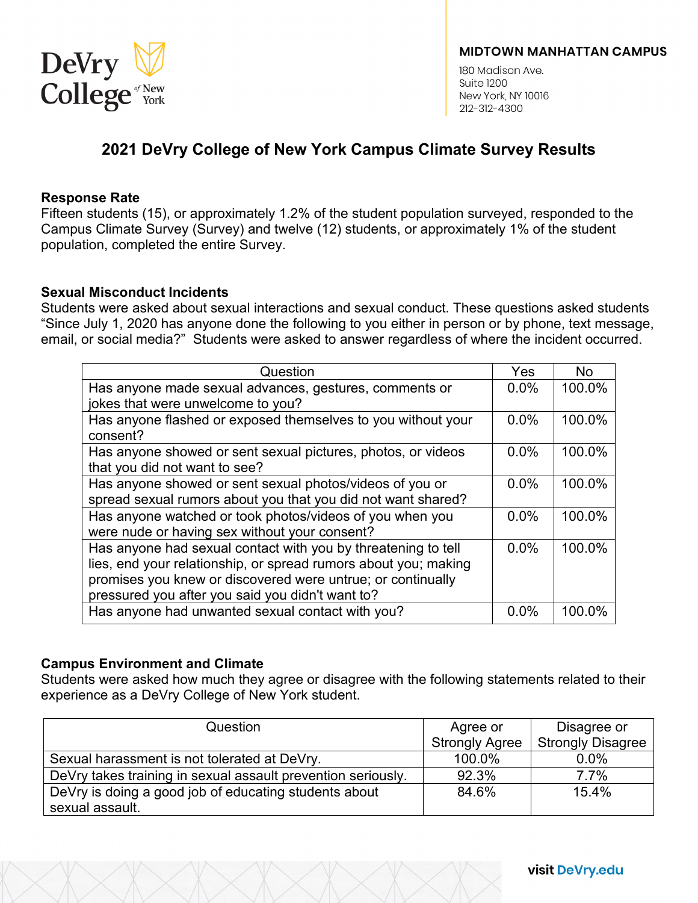

180 Madison Ave Suite 1200 New York, NY 10016 212-312-4300

# **2021 DeVry College of New York Campus Climate Survey Results**

### **Response Rate**

Fifteen students (15), or approximately 1.2% of the student population surveyed, responded to the Campus Climate Survey (Survey) and twelve (12) students, or approximately 1% of the student population, completed the entire Survey.

### **Sexual Misconduct Incidents**

Students were asked about sexual interactions and sexual conduct. These questions asked students "Since July 1, 2020 has anyone done the following to you either in person or by phone, text message, email, or social media?" Students were asked to answer regardless of where the incident occurred.

| Question                                                                                                                                                                                                                                            | Yes  | <b>No</b> |
|-----------------------------------------------------------------------------------------------------------------------------------------------------------------------------------------------------------------------------------------------------|------|-----------|
| Has anyone made sexual advances, gestures, comments or                                                                                                                                                                                              | 0.0% | 100.0%    |
| jokes that were unwelcome to you?                                                                                                                                                                                                                   |      |           |
| Has anyone flashed or exposed themselves to you without your<br>consent?                                                                                                                                                                            | 0.0% | 100.0%    |
| Has anyone showed or sent sexual pictures, photos, or videos<br>that you did not want to see?                                                                                                                                                       | 0.0% | 100.0%    |
| Has anyone showed or sent sexual photos/videos of you or<br>spread sexual rumors about you that you did not want shared?                                                                                                                            | 0.0% | 100.0%    |
| Has anyone watched or took photos/videos of you when you<br>were nude or having sex without your consent?                                                                                                                                           | 0.0% | 100.0%    |
| Has anyone had sexual contact with you by threatening to tell<br>lies, end your relationship, or spread rumors about you; making<br>promises you knew or discovered were untrue; or continually<br>pressured you after you said you didn't want to? | 0.0% | 100.0%    |
| Has anyone had unwanted sexual contact with you?                                                                                                                                                                                                    | 0.0% | 100.0%    |

# **Campus Environment and Climate**

Students were asked how much they agree or disagree with the following statements related to their experience as a DeVry College of New York student.

| Question                                                     | Agree or              | Disagree or              |
|--------------------------------------------------------------|-----------------------|--------------------------|
|                                                              | <b>Strongly Agree</b> | <b>Strongly Disagree</b> |
| Sexual harassment is not tolerated at DeVry.                 | 100.0%                | 0.0%                     |
| DeVry takes training in sexual assault prevention seriously. | 92.3%                 | 7.7%                     |
| DeVry is doing a good job of educating students about        | 84.6%                 | 15.4%                    |
| sexual assault.                                              |                       |                          |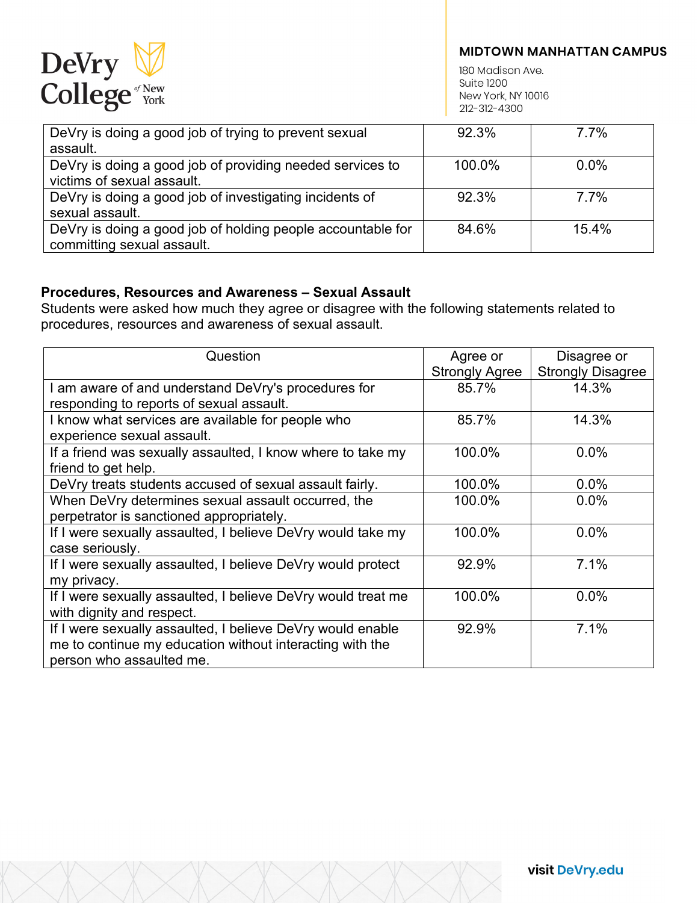

180 Madison Ave. **Suite 1200** New York, NY 10016 212-312-4300

| DeVry is doing a good job of trying to prevent sexual       | 92.3%  | 7.7%    |
|-------------------------------------------------------------|--------|---------|
| assault.                                                    |        |         |
| DeVry is doing a good job of providing needed services to   | 100.0% | $0.0\%$ |
| victims of sexual assault.                                  |        |         |
| DeVry is doing a good job of investigating incidents of     | 92.3%  | 7.7%    |
| sexual assault.                                             |        |         |
| DeVry is doing a good job of holding people accountable for | 84.6%  | 15.4%   |
| committing sexual assault.                                  |        |         |

# **Procedures, Resources and Awareness – Sexual Assault**

Students were asked how much they agree or disagree with the following statements related to procedures, resources and awareness of sexual assault.

| Question                                                     | Agree or              | Disagree or              |
|--------------------------------------------------------------|-----------------------|--------------------------|
|                                                              | <b>Strongly Agree</b> | <b>Strongly Disagree</b> |
| I am aware of and understand DeVry's procedures for          | 85.7%                 | 14.3%                    |
| responding to reports of sexual assault.                     |                       |                          |
| I know what services are available for people who            | 85.7%                 | 14.3%                    |
| experience sexual assault.                                   |                       |                          |
| If a friend was sexually assaulted, I know where to take my  | 100.0%                | $0.0\%$                  |
| friend to get help.                                          |                       |                          |
| DeVry treats students accused of sexual assault fairly.      | 100.0%                | $0.0\%$                  |
| When DeVry determines sexual assault occurred, the           | 100.0%                | $0.0\%$                  |
| perpetrator is sanctioned appropriately.                     |                       |                          |
| If I were sexually assaulted, I believe DeVry would take my  | 100.0%                | $0.0\%$                  |
| case seriously.                                              |                       |                          |
| If I were sexually assaulted, I believe DeVry would protect  | 92.9%                 | 7.1%                     |
| my privacy.                                                  |                       |                          |
| If I were sexually assaulted, I believe DeVry would treat me | 100.0%                | 0.0%                     |
| with dignity and respect.                                    |                       |                          |
| If I were sexually assaulted, I believe DeVry would enable   | 92.9%                 | 7.1%                     |
| me to continue my education without interacting with the     |                       |                          |
| person who assaulted me.                                     |                       |                          |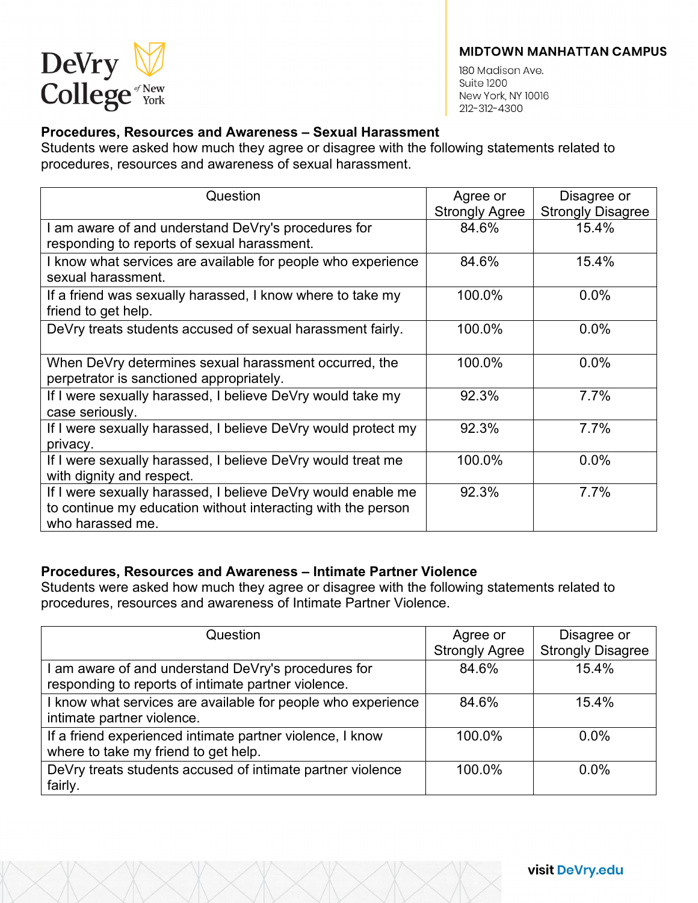

180 Madison Ave. **Suite 1200** New York, NY 10016 212-312-4300

# **Procedures, Resources and Awareness – Sexual Harassment**

Students were asked how much they agree or disagree with the following statements related to procedures, resources and awareness of sexual harassment.

| Question                                                      | Agree or              | Disagree or              |
|---------------------------------------------------------------|-----------------------|--------------------------|
|                                                               | <b>Strongly Agree</b> | <b>Strongly Disagree</b> |
| I am aware of and understand DeVry's procedures for           | 84.6%                 | 15.4%                    |
| responding to reports of sexual harassment.                   |                       |                          |
| I know what services are available for people who experience  | 84.6%                 | 15.4%                    |
| sexual harassment.                                            |                       |                          |
| If a friend was sexually harassed, I know where to take my    | 100.0%                | 0.0%                     |
| friend to get help.                                           |                       |                          |
| DeVry treats students accused of sexual harassment fairly.    | 100.0%                | 0.0%                     |
|                                                               |                       |                          |
| When DeVry determines sexual harassment occurred, the         | 100.0%                | $0.0\%$                  |
| perpetrator is sanctioned appropriately.                      |                       |                          |
| If I were sexually harassed, I believe DeVry would take my    | 92.3%                 | 7.7%                     |
| case seriously.                                               |                       |                          |
| If I were sexually harassed, I believe DeVry would protect my | 92.3%                 | 7.7%                     |
| privacy.                                                      |                       |                          |
| If I were sexually harassed, I believe DeVry would treat me   | 100.0%                | 0.0%                     |
| with dignity and respect.                                     |                       |                          |
| If I were sexually harassed, I believe DeVry would enable me  | 92.3%                 | 7.7%                     |
| to continue my education without interacting with the person  |                       |                          |
| who harassed me.                                              |                       |                          |

# **Procedures, Resources and Awareness – Intimate Partner Violence**

Students were asked how much they agree or disagree with the following statements related to procedures, resources and awareness of Intimate Partner Violence.

| Question                                                     | Agree or              | Disagree or              |
|--------------------------------------------------------------|-----------------------|--------------------------|
|                                                              | <b>Strongly Agree</b> | <b>Strongly Disagree</b> |
| I am aware of and understand DeVry's procedures for          | 84.6%                 | 15.4%                    |
| responding to reports of intimate partner violence.          |                       |                          |
| I know what services are available for people who experience | 84.6%                 | 15.4%                    |
| intimate partner violence.                                   |                       |                          |
| If a friend experienced intimate partner violence, I know    | 100.0%                | $0.0\%$                  |
| where to take my friend to get help.                         |                       |                          |
| DeVry treats students accused of intimate partner violence   | 100.0%                | $0.0\%$                  |
| fairly.                                                      |                       |                          |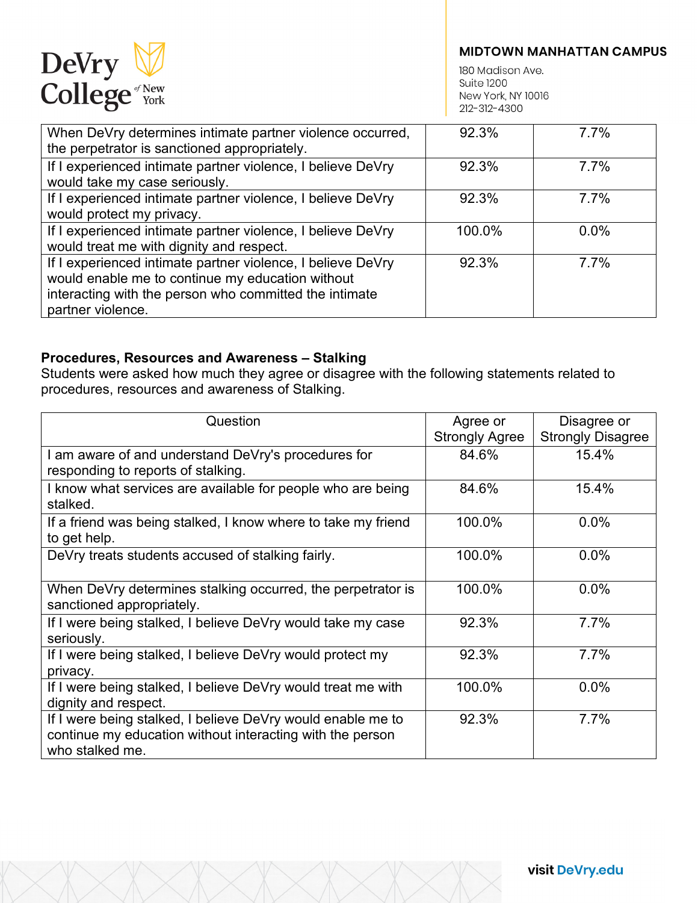

180 Madison Ave. **Suite 1200** New York, NY 10016 212-312-4300

| When DeVry determines intimate partner violence occurred,<br>the perpetrator is sanctioned appropriately.                                                                                      | 92.3%  | 7.7% |
|------------------------------------------------------------------------------------------------------------------------------------------------------------------------------------------------|--------|------|
| If I experienced intimate partner violence, I believe DeVry<br>would take my case seriously.                                                                                                   | 92.3%  | 7.7% |
| If I experienced intimate partner violence, I believe DeVry<br>would protect my privacy.                                                                                                       | 92.3%  | 7.7% |
| If I experienced intimate partner violence, I believe DeVry<br>would treat me with dignity and respect.                                                                                        | 100.0% | 0.0% |
| If I experienced intimate partner violence, I believe DeVry<br>would enable me to continue my education without<br>interacting with the person who committed the intimate<br>partner violence. | 92.3%  | 7.7% |

### **Procedures, Resources and Awareness – Stalking**

Students were asked how much they agree or disagree with the following statements related to procedures, resources and awareness of Stalking.

| Question                                                                                                                                    | Agree or<br><b>Strongly Agree</b> | Disagree or<br><b>Strongly Disagree</b> |
|---------------------------------------------------------------------------------------------------------------------------------------------|-----------------------------------|-----------------------------------------|
| I am aware of and understand DeVry's procedures for<br>responding to reports of stalking.                                                   | 84.6%                             | 15.4%                                   |
| I know what services are available for people who are being<br>stalked.                                                                     | 84.6%                             | 15.4%                                   |
| If a friend was being stalked, I know where to take my friend<br>to get help.                                                               | 100.0%                            | 0.0%                                    |
| DeVry treats students accused of stalking fairly.                                                                                           | 100.0%                            | 0.0%                                    |
| When DeVry determines stalking occurred, the perpetrator is<br>sanctioned appropriately.                                                    | 100.0%                            | 0.0%                                    |
| If I were being stalked, I believe DeVry would take my case<br>seriously.                                                                   | 92.3%                             | 7.7%                                    |
| If I were being stalked, I believe DeVry would protect my<br>privacy.                                                                       | 92.3%                             | 7.7%                                    |
| If I were being stalked, I believe DeVry would treat me with<br>dignity and respect.                                                        | 100.0%                            | $0.0\%$                                 |
| If I were being stalked, I believe DeVry would enable me to<br>continue my education without interacting with the person<br>who stalked me. | 92.3%                             | 7.7%                                    |